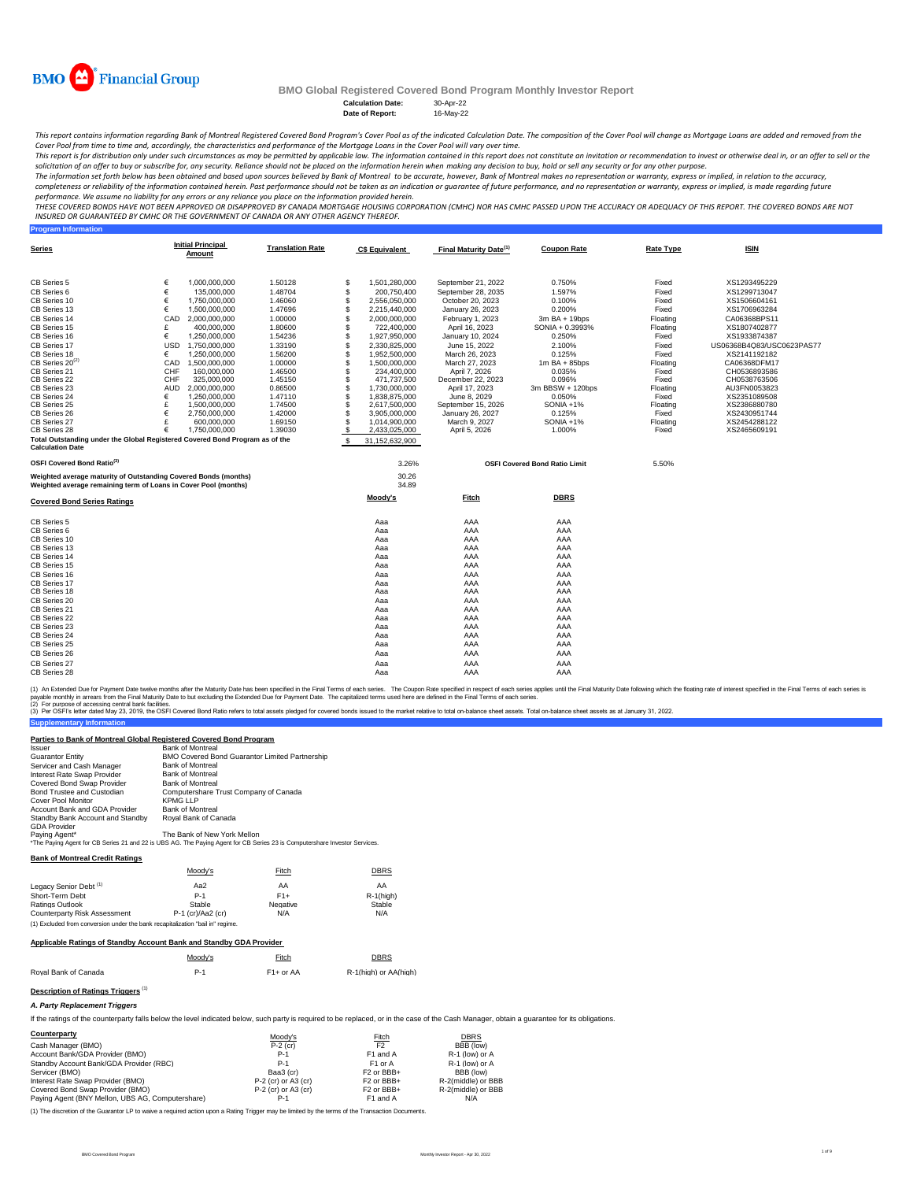

**Program Information**

# **BMO Global Registered Covered Bond Program Monthly Investor Report**

Calculation Date: 30-Apr-22<br>Date of Report: 16-May-22 **Date of Report:** 

This report contains information regarding Bank of Montreal Registered Covered Bond Program's Cover Pool as of the indicated Calculation Date. The composition of the Cover Pool will change as Mortgage Loans are added and r *Cover Pool from time to time and, accordingly, the characteristics and performance of the Mortgage Loans in the Cover Pool will vary over time.*

This report is for distribution only under such circumstances as may be permitted by applicable law. The information contained in this report does not constitute an invitation or recommendation to invest or otherwise deal

The information set forth below has been obtained and based upon sources believed by Bank of Montreal , bowever, Bank of Montreal makes no representation or warranty, express or implied, in relation to the accuracy,<br>comple

performance. We assume no liability for any errors or any reliance you place on the information provided herein.<br>THESE COVERED BONDS HAVE NOT BEEN APPROVED BY DANDEN ON DE TO KNAND MORTGGE HOUSING CORPORATION (CMHC) NOR HA *INSURED OR GUARANTEED BY CMHC OR THE GOVERNMENT OF CANADA OR ANY OTHER AGENCY THEREOF.*

| <b>Series</b>                                                                |            | <b>Initial Principal</b><br>Amount | <b>Translation Rate</b> |     | <b>C\$ Equivalent</b> | Final Maturity Date <sup>(1)</sup> | <b>Coupon Rate</b>                   | <b>Rate Type</b> | <b>ISIN</b>               |
|------------------------------------------------------------------------------|------------|------------------------------------|-------------------------|-----|-----------------------|------------------------------------|--------------------------------------|------------------|---------------------------|
| CB Series 5                                                                  | €          | 1.000.000.000                      | 1.50128                 | S   | 1,501,280,000         | September 21, 2022                 | 0.750%                               | Fixed            | XS1293495229              |
| CB Series 6                                                                  | €          | 135,000,000                        | 1.48704                 | \$  | 200,750,400           | September 28, 2035                 | 1.597%                               | Fixed            | XS1299713047              |
| CB Series 10                                                                 | €          | 1,750,000,000                      | 1.46060                 | \$  | 2,556,050,000         | October 20, 2023                   | 0.100%                               | Fixed            | XS1506604161              |
| CB Series 13                                                                 | €          | 1,500,000,000                      | 1.47696                 | \$  | 2,215,440,000         | January 26, 2023                   | 0.200%                               | Fixed            | XS1706963284              |
| CB Series 14                                                                 | CAD        | 2.000.000.000                      | 1.00000                 | \$  | 2,000,000,000         | February 1, 2023                   | 3m BA + 19bps                        | Floating         | CA06368BPS11              |
| CB Series 15                                                                 | £          | 400.000.000                        | 1.80600                 | \$  | 722,400,000           | April 16, 2023                     | SONIA + 0.3993%                      | Floating         | XS1807402877              |
| CB Series 16                                                                 | €          | 1,250,000,000                      | 1.54236                 | \$  | 1,927,950,000         | January 10, 2024                   | 0.250%                               | Fixed            | XS1933874387              |
| CB Series 17                                                                 | <b>USD</b> | 1,750,000,000                      | 1.33190                 | \$  | 2,330,825,000         | June 15, 2022                      | 2.100%                               | Fixed            | US06368B4Q83/USC0623PAS77 |
| CB Series 18                                                                 | €          | 1,250,000,000                      | 1.56200                 | \$  | 1,952,500,000         | March 26, 2023                     | 0.125%                               | Fixed            | XS2141192182              |
| CB Series 20 <sup>(2)</sup>                                                  | CAD        | 1,500,000,000                      | 1.00000                 | \$  | 1,500,000,000         | March 27, 2023                     | $1m$ BA + 85bps                      | Floating         | CA06368DFM17              |
| CB Series 21                                                                 | CHF        | 160,000,000                        | 1.46500                 | \$  | 234,400,000           | April 7, 2026                      | 0.035%                               | Fixed            | CH0536893586              |
| CB Series 22                                                                 | CHF        | 325,000,000                        | 1.45150                 | \$  | 471,737,500           | December 22, 2023                  | 0.096%                               | Fixed            | CH0538763506              |
| CB Series 23                                                                 | <b>AUD</b> | 2,000,000,000                      | 0.86500                 | \$  | 1,730,000,000         | April 17, 2023                     | 3m BBSW + 120bps                     | Floating         | AU3FN0053823              |
| CB Series 24                                                                 | €          | 1,250,000,000                      | 1.47110                 | \$  | 1,838,875,000         | June 8, 2029                       | 0.050%                               | Fixed            | XS2351089508              |
| CB Series 25                                                                 | £          | 1,500,000,000                      | 1.74500                 | \$  | 2,617,500,000         | September 15, 2026                 | SONIA +1%                            | Floating         | XS2386880780              |
| CB Series 26                                                                 | €          | 2,750,000,000                      | 1.42000                 | \$  | 3,905,000,000         | January 26, 2027                   | 0.125%                               | Fixed            | XS2430951744              |
| CB Series 27                                                                 | £          | 600,000,000                        | 1.69150                 | \$  | 1,014,900,000         | March 9, 2027                      | SONIA +1%                            | Floating         | XS2454288122              |
| CB Series 28                                                                 | €          | 1.750.000.000                      | 1.39030                 | \$  | 2,433,025,000         | April 5, 2026                      | 1.000%                               | Fixed            | XS2465609191              |
| Total Outstanding under the Global Registered Covered Bond Program as of the |            |                                    |                         | \$. | 31,152,632,900        |                                    |                                      |                  |                           |
| <b>Calculation Date</b>                                                      |            |                                    |                         |     |                       |                                    |                                      |                  |                           |
| OSFI Covered Bond Ratio <sup>(3)</sup>                                       |            |                                    |                         |     | 3.26%                 |                                    | <b>OSFI Covered Bond Ratio Limit</b> | 5.50%            |                           |
| Weighted average maturity of Outstanding Covered Bonds (months)              |            |                                    |                         |     | 30.26                 |                                    |                                      |                  |                           |
| Weighted average remaining term of Loans in Cover Pool (months)              |            |                                    |                         |     | 34.89                 |                                    |                                      |                  |                           |
| <b>Covered Bond Series Ratings</b>                                           |            |                                    |                         |     | Moody's               | Fitch                              | <b>DBRS</b>                          |                  |                           |
| CB Series 5                                                                  |            |                                    |                         |     |                       |                                    |                                      |                  |                           |
| CB Series 6                                                                  |            |                                    |                         |     | Aaa                   | AAA<br>AAA                         | AAA<br>AAA                           |                  |                           |
|                                                                              |            |                                    |                         |     | Aaa                   |                                    |                                      |                  |                           |
| CB Series 10<br>CB Series 13                                                 |            |                                    |                         |     | Aaa                   | AAA<br>AAA                         | AAA<br>AAA                           |                  |                           |
|                                                                              |            |                                    |                         |     | Aaa                   |                                    |                                      |                  |                           |
| CB Series 14                                                                 |            |                                    |                         |     | Aaa                   | AAA<br>AAA                         | AAA<br>AAA                           |                  |                           |
| CB Series 15                                                                 |            |                                    |                         |     | Aaa                   |                                    |                                      |                  |                           |
| CB Series 16                                                                 |            |                                    |                         |     | Aaa                   | AAA                                | AAA                                  |                  |                           |
| CB Series 17                                                                 |            |                                    |                         |     | Aaa                   | AAA                                | AAA                                  |                  |                           |
| CB Series 18                                                                 |            |                                    |                         |     | Aaa                   | AAA                                | AAA                                  |                  |                           |
| CB Series 20                                                                 |            |                                    |                         |     | Aaa                   | AAA                                | AAA                                  |                  |                           |
| CB Series 21                                                                 |            |                                    |                         |     | Aaa                   | AAA                                | AAA                                  |                  |                           |
| CB Series 22                                                                 |            |                                    |                         |     | Aaa                   | AAA                                | AAA                                  |                  |                           |
| CB Series 23                                                                 |            |                                    |                         |     | Aaa                   | AAA                                | AAA                                  |                  |                           |
| CB Series 24                                                                 |            |                                    |                         |     | Aaa                   | AAA                                | AAA                                  |                  |                           |
| CB Series 25                                                                 |            |                                    |                         |     | Aaa                   | AAA                                | AAA                                  |                  |                           |
| CB Series 26                                                                 |            |                                    |                         |     | Aaa                   | AAA                                | AAA                                  |                  |                           |
| CB Series 27                                                                 |            |                                    |                         |     | Ааа                   | AAA                                | AAA                                  |                  |                           |
| CB Series 28                                                                 |            |                                    |                         |     | Aaa                   | AAA                                | AAA                                  |                  |                           |

(1) An Extended Due for Payment Date twelve months after the Maturity Date has been specified in the Final of each series. The Coupon Rate specified in the Final Tems of each series is<br>payable monthy in arrears from the Fi

(2) For purpose of accessing central bank facilities. **Supplementary Info** (3) Per OSFI's letter dated May 23, 2019, the OSFI Covered Bond Ratio refers to total assets pledged for covered bonds issued to the market relative to total on-balance sheet assets. Total on-balance sheet assets as at Jan

| <b>Issuer</b>                    | <b>Bank of Montreal</b>                                                                                                    |
|----------------------------------|----------------------------------------------------------------------------------------------------------------------------|
| <b>Guarantor Entity</b>          | <b>BMO Covered Bond Guarantor Limited Partnership</b>                                                                      |
| Servicer and Cash Manager        | <b>Bank of Montreal</b>                                                                                                    |
| Interest Rate Swap Provider      | <b>Bank of Montreal</b>                                                                                                    |
| Covered Bond Swap Provider       | <b>Bank of Montreal</b>                                                                                                    |
| Bond Trustee and Custodian       | Computershare Trust Company of Canada                                                                                      |
| Cover Pool Monitor               | <b>KPMG LLP</b>                                                                                                            |
| Account Bank and GDA Provider    | <b>Bank of Montreal</b>                                                                                                    |
| Standby Bank Account and Standby | Roval Bank of Canada                                                                                                       |
| <b>GDA Provider</b>              |                                                                                                                            |
| Paying Agent*                    | The Bank of New York Mellon                                                                                                |
|                                  | *The Paying Agent for CB Series 21 and 22 is UBS AG. The Paying Agent for CB Series 23 is Computershare Investor Services. |

#### **Bank of Montreal Credit Ratings**

|                                                                               | Moody's             | Fitch    | <b>DBRS</b>  |
|-------------------------------------------------------------------------------|---------------------|----------|--------------|
| Legacy Senior Debt <sup>(1)</sup>                                             | Aa2                 | AA       | AA           |
| Short-Term Debt                                                               | $P-1$               | $F1+$    | $R-1$ (high) |
| Ratings Outlook                                                               | Stable              | Negative | Stable       |
| Counterparty Risk Assessment                                                  | $P-1$ (cr)/Aa2 (cr) | N/A      | N/A          |
| (1) Excluded from conversion under the bank recanitalization "bail in" regime |                     |          |              |

#### **Applicable Ratings of Standby Account Bank and Standby GDA Provider**

|                      | Moody's | Fitch       | <b>DBRS</b>           |
|----------------------|---------|-------------|-----------------------|
| Roval Bank of Canada | $P-1$   | $F1+$ or AA | R-1(high) or AA(high) |

# **Description of Ratings Triggers** (1)

*A. Party Replacement Triggers*

If the ratings of the counterparty falls below the level indicated below, such party is required to be replaced, or in the case of the Cash Manager, obtain a guarantee for its obligations.

| Counterparty                                     | Moody's               | Fitch                             | <b>DBRS</b>        |
|--------------------------------------------------|-----------------------|-----------------------------------|--------------------|
| Cash Manager (BMO)                               | $P-2$ (cr)            | F <sub>2</sub>                    | BBB (low)          |
| Account Bank/GDA Provider (BMO)                  | $P-1$                 | F1 and A                          | R-1 (low) or A     |
| Standby Account Bank/GDA Provider (RBC)          | $P-1$                 | F <sub>1</sub> or A               | R-1 (low) or A     |
| Servicer (BMO)                                   | Baa3 (cr)             | F <sub>2</sub> or BB <sub>+</sub> | BBB (low)          |
| Interest Rate Swap Provider (BMO)                | P-2 (cr) or A3 (cr)   | F <sub>2</sub> or BB <sub>+</sub> | R-2(middle) or BBB |
| Covered Bond Swap Provider (BMO)                 | $P-2$ (cr) or A3 (cr) | F <sub>2</sub> or BB <sub>+</sub> | R-2(middle) or BBB |
| Paying Agent (BNY Mellon, UBS AG, Computershare) | P-1                   | F1 and A                          | N/A                |

(1) The discretion of the Guarantor LP to waive a required action upon a Rating Trigger may be limited by the terms of the Transaction Documents.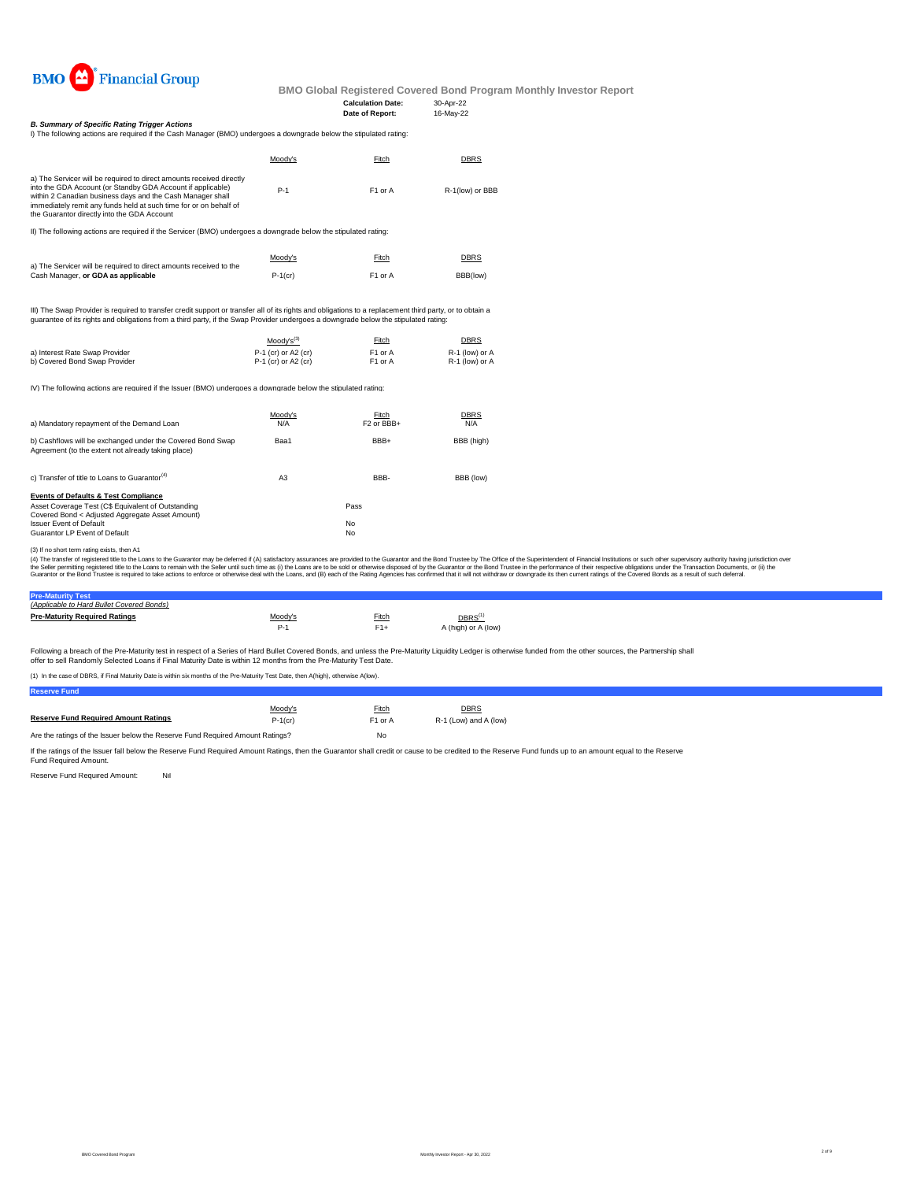

#### **Calculation Date:** 30-Apr-22<br> **Date of Report:** 16-May-22 **Date of Report:**

I) The following actions are required if the Cash Manager (BMO) undergoes a downgrade below the stipulated rating: *B. Summary of Specific Rating Trigger Actions*

|                                                                                                                                                                                                                                                                                                                       | Moodv's | Fitch               | <b>DBRS</b>     |  |  |  |  |  |
|-----------------------------------------------------------------------------------------------------------------------------------------------------------------------------------------------------------------------------------------------------------------------------------------------------------------------|---------|---------------------|-----------------|--|--|--|--|--|
| a) The Servicer will be required to direct amounts received directly<br>into the GDA Account (or Standby GDA Account if applicable)<br>within 2 Canadian business days and the Cash Manager shall<br>immediately remit any funds held at such time for or on behalf of<br>the Guarantor directly into the GDA Account | $P-1$   | F <sub>1</sub> or A | R-1(low) or BBB |  |  |  |  |  |
|                                                                                                                                                                                                                                                                                                                       |         |                     |                 |  |  |  |  |  |

II) The following actions are required if the Servicer (BMO) undergoes a downgrade below the stipulated rating:

|                                                                    | Moody's    | Fitch               | <b>DBRS</b> |
|--------------------------------------------------------------------|------------|---------------------|-------------|
| a) The Servicer will be required to direct amounts received to the |            |                     |             |
| Cash Manager, or GDA as applicable                                 | $P-1$ (cr) | F <sub>1</sub> or A | BBB(low)    |

III) The Swap Provider is required to transfer credit support or transfer all of its rights and obligations to a replacement third party, or to obtain a<br>guarantee of its rights and obligations from a third party, if the Sw

|                                | $Mody's^{(3)}$        | Fitch               | DBRS           |
|--------------------------------|-----------------------|---------------------|----------------|
| a) Interest Rate Swap Provider | $P-1$ (cr) or A2 (cr) | F <sub>1</sub> or A | R-1 (low) or A |
| b) Covered Bond Swap Provider  | $P-1$ (cr) or A2 (cr) | F1 or A             | R-1 (low) or A |

IV) The following actions are required if the Issuer (BMO) undergoes a downgrade below the stipulated rating:

| a) Mandatory repayment of the Demand Loan                                                                                                                                                                                   | Moody's<br>N/A | Fitch<br>F <sub>2</sub> or BB <sub>+</sub> | <b>DBRS</b><br>N/A |
|-----------------------------------------------------------------------------------------------------------------------------------------------------------------------------------------------------------------------------|----------------|--------------------------------------------|--------------------|
| b) Cashflows will be exchanged under the Covered Bond Swap<br>Agreement (to the extent not already taking place)                                                                                                            | Baa1           | BBB+                                       | BBB (high)         |
| c) Transfer of title to Loans to Guarantor <sup>(4)</sup>                                                                                                                                                                   | A <sub>3</sub> | BBB-                                       | BBB (low)          |
| <b>Events of Defaults &amp; Test Compliance</b><br>Asset Coverage Test (C\$ Equivalent of Outstanding<br>Covered Bond < Adjusted Aggregate Asset Amount)<br><b>Issuer Event of Default</b><br>Guarantor LP Event of Default |                | Pass<br>No<br>No                           |                    |

(3) If no short term rating exists, then A1

(4) The transfer of registered title to the Loans to the Guarantor may be deferred if (A) satisfactory assurances are provided to the Guarantor and the Bond Trustee by The Office of the Superintendent of Financial Institut

# **Pre-Maturity Test** *(Applicable to Hard Bullet Covered Bonds)*

| <b>Pre-Maturity Required Ratings</b> | Moody's | Fitch | $DBRS^{(1)}$        |
|--------------------------------------|---------|-------|---------------------|
|                                      |         |       | A (high) or A (low) |

Following a breach of the Pre-Maturity test in respect of a Series of Hard Bullet Covered Bonds, and unless the Pre-Maturity Liquidity Ledger is otherwise funded from the other sources, the Partnership shall offer to sell Randomly Selected Loans if Final Maturity Date is within 12 months from the Pre-Maturity Test Date.

(1) In the case of DBRS, if Final Maturity Date is within six months of the Pre-Maturity Test Date, then A(high), otherwise A(low).

**Reserve Fund**

|                                                                               | Moody's    | Fitch               | <b>DBRS</b>           |
|-------------------------------------------------------------------------------|------------|---------------------|-----------------------|
| <b>Reserve Fund Required Amount Ratings</b>                                   | $P-1$ (cr) | F <sub>1</sub> or A | R-1 (Low) and A (low) |
| Are the ratings of the Issuer below the Reserve Fund Required Amount Ratings? |            | No                  |                       |

If the ratings of the Issuer fall below the Reserve Fund Required Amount Ratings, then the Guarantor shall credit or cause to be credited to the Reserve Fund funds up to an amount equal to the Reserve<br>Fund Required Amount.

Reserve Fund Required Amount: Nil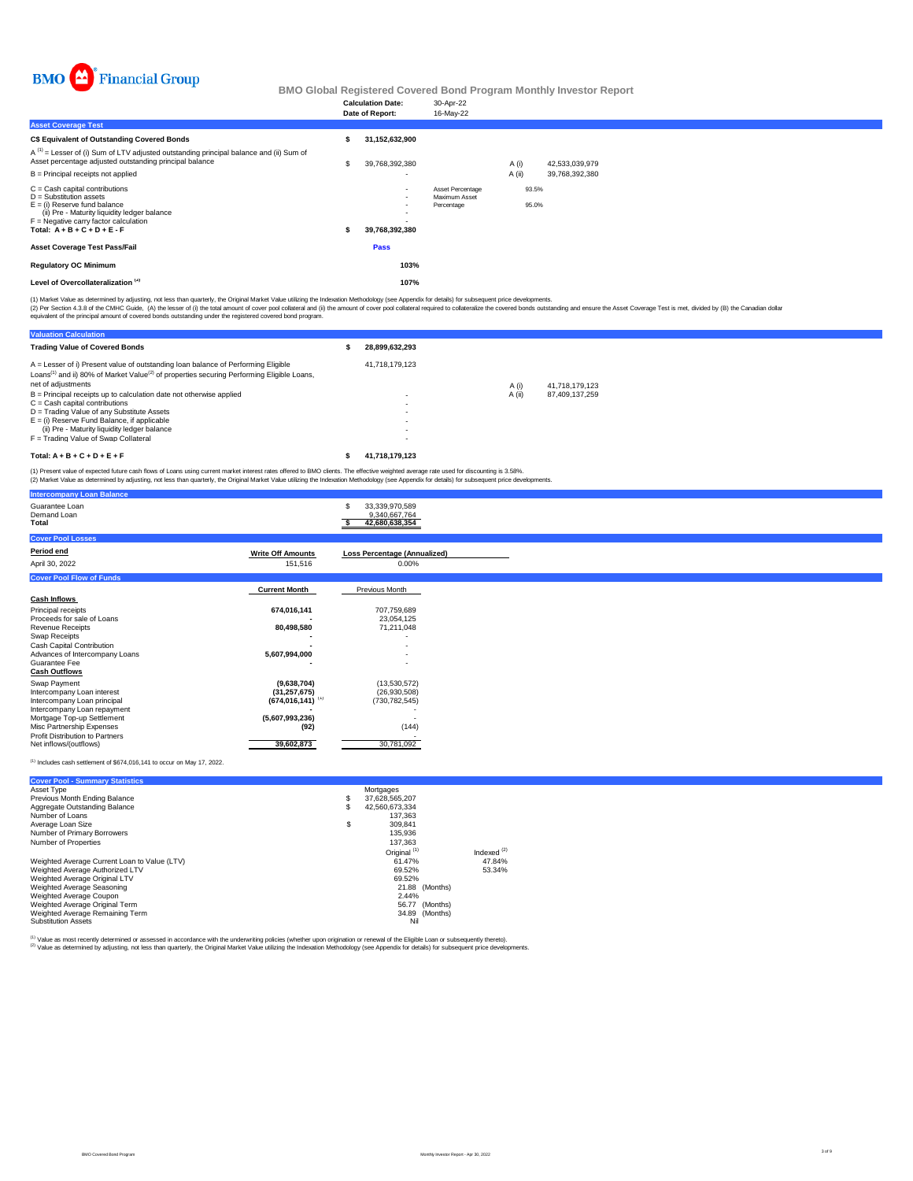

|                                                                                                                                                                                                                      |     | <b>Calculation Date:</b><br>Date of Report: | 30-Apr-22<br>16-May-22                          |                 |                |                                  |  |  |  |
|----------------------------------------------------------------------------------------------------------------------------------------------------------------------------------------------------------------------|-----|---------------------------------------------|-------------------------------------------------|-----------------|----------------|----------------------------------|--|--|--|
| <b>Asset Coverage Test</b>                                                                                                                                                                                           |     |                                             |                                                 |                 |                |                                  |  |  |  |
| C\$ Equivalent of Outstanding Covered Bonds                                                                                                                                                                          |     | 31,152,632,900                              |                                                 |                 |                |                                  |  |  |  |
| $A^{(1)}$ = Lesser of (i) Sum of LTV adjusted outstanding principal balance and (ii) Sum of<br>Asset percentage adjusted outstanding principal balance<br>B = Principal receipts not applied                         | \$. | 39,768,392,380<br>$\overline{\phantom{a}}$  |                                                 | A (i)<br>A (ii) |                | 42,533,039,979<br>39,768,392,380 |  |  |  |
| C = Cash capital contributions<br>D = Substitution assets<br>E = (i) Reserve fund balance<br>(ii) Pre - Maturity liquidity ledger balance<br>F = Negative carry factor calculation<br>Total: $A + B + C + D + E - F$ |     | $\sim$<br>39,768,392,380                    | Asset Percentage<br>Maximum Asset<br>Percentage |                 | 93.5%<br>95.0% |                                  |  |  |  |
| Asset Coverage Test Pass/Fail                                                                                                                                                                                        |     | Pass                                        |                                                 |                 |                |                                  |  |  |  |
| <b>Regulatory OC Minimum</b>                                                                                                                                                                                         |     | 103%                                        |                                                 |                 |                |                                  |  |  |  |
| Level of Overcollateralization <sup>(2)</sup>                                                                                                                                                                        |     | 107%                                        |                                                 |                 |                |                                  |  |  |  |
|                                                                                                                                                                                                                      |     |                                             |                                                 |                 |                |                                  |  |  |  |

(1) Market Value as determined by adjusting, not less than quarterly, the Original Market Value utilizing the Indexation Methodology (see Appendix for details) for subsequent price developments.<br>(2) Per Section 4.3.8 of th

| <b>Valuation Calculation</b>                                                                                                                                                                                                 |                                                                                  |        |                |
|------------------------------------------------------------------------------------------------------------------------------------------------------------------------------------------------------------------------------|----------------------------------------------------------------------------------|--------|----------------|
| <b>Trading Value of Covered Bonds</b>                                                                                                                                                                                        | 28.899.632.293                                                                   |        |                |
| A = Lesser of i) Present value of outstanding loan balance of Performing Eligible<br>Loans <sup>(1)</sup> and ii) 80% of Market Value <sup>(2)</sup> of properties securing Performing Eligible Loans,<br>net of adjustments | 41.718.179.123                                                                   | A (i)  | 41.718.179.123 |
| $B =$ Principal receipts up to calculation date not otherwise applied<br>$C = Cash$ capital contributions<br>D = Trading Value of any Substitute Assets                                                                      | $\overline{\phantom{0}}$                                                         | A (ii) | 87.409.137.259 |
| $E =$ (i) Reserve Fund Balance, if applicable<br>(ii) Pre - Maturity liquidity ledger balance                                                                                                                                | $\overline{\phantom{0}}$<br>$\overline{\phantom{0}}$<br>$\overline{\phantom{0}}$ |        |                |
| F = Trading Value of Swap Collateral                                                                                                                                                                                         | $\overline{\phantom{0}}$                                                         |        |                |
| Total: $A + B + C + D + E + F$                                                                                                                                                                                               | 41.718.179.123                                                                   |        |                |

(1) Present value of expected future cash flows of Loans using current market interest rates offered to BMO clients. The effective weighted average rate used for discounting is 3.58%.<br>(2) Market Value as determined by adju

|                          | 33,339,970,589<br>9,340,667,764<br>42,680,638,354                                             |
|--------------------------|-----------------------------------------------------------------------------------------------|
|                          |                                                                                               |
| <b>Write Off Amounts</b> | Loss Percentage (Annualized)                                                                  |
| 151,516                  | $0.00\%$                                                                                      |
|                          |                                                                                               |
| <b>Current Month</b>     | Previous Month                                                                                |
|                          |                                                                                               |
| 674,016,141              | 707,759,689                                                                                   |
|                          | 23,054,125                                                                                    |
|                          | 71,211,048                                                                                    |
|                          |                                                                                               |
| 5,607,994,000            |                                                                                               |
|                          |                                                                                               |
|                          |                                                                                               |
|                          | (13,530,572)                                                                                  |
|                          | (26,930,508)<br>(730, 782, 545)                                                               |
|                          |                                                                                               |
| (5,607,993,236)          |                                                                                               |
| (92)                     | (144)                                                                                         |
|                          | 30,781,092                                                                                    |
|                          | 80,498,580<br>(9,638,704)<br>(31, 257, 675)<br>$(674, 016, 141)$ <sup>(1)</sup><br>39,602,873 |

#### $<sup>(1)</sup>$  Includes cash settlement of \$674,016,141 to occur on May 17, 2022.</sup>

| <b>Cover Pool - Summary Statistics</b>       |    |                         |                |               |
|----------------------------------------------|----|-------------------------|----------------|---------------|
| Asset Type                                   |    | Mortgages               |                |               |
| Previous Month Ending Balance                | s  | 37.628.565.207          |                |               |
| Aggregate Outstanding Balance                | S  | 42.560.673.334          |                |               |
| Number of Loans                              |    | 137.363                 |                |               |
| Average Loan Size                            | \$ | 309.841                 |                |               |
| Number of Primary Borrowers                  |    | 135.936                 |                |               |
| Number of Properties                         |    | 137.363                 |                |               |
|                                              |    | Original <sup>(1)</sup> |                | Indexed $(2)$ |
| Weighted Average Current Loan to Value (LTV) |    | 61.47%                  |                | 47.84%        |
| Weighted Average Authorized LTV              |    | 69.52%                  |                | 53.34%        |
| Weighted Average Original LTV                |    | 69.52%                  |                |               |
| Weighted Average Seasoning                   |    |                         | 21.88 (Months) |               |
| Weighted Average Coupon                      |    | 2.44%                   |                |               |
| Weighted Average Original Term               |    |                         | 56.77 (Months) |               |
| Weighted Average Remaining Term              |    |                         | 34.89 (Months) |               |
| <b>Substitution Assets</b>                   |    | Nil                     |                |               |

<sup>(1)</sup> Value as most recently determined or assessed in accordance with the underwriting policies (whether upon origination or renewal of the Eligible Loan or subsequently thereto).<br><sup>(2)</sup> Value as determined by adjusting, n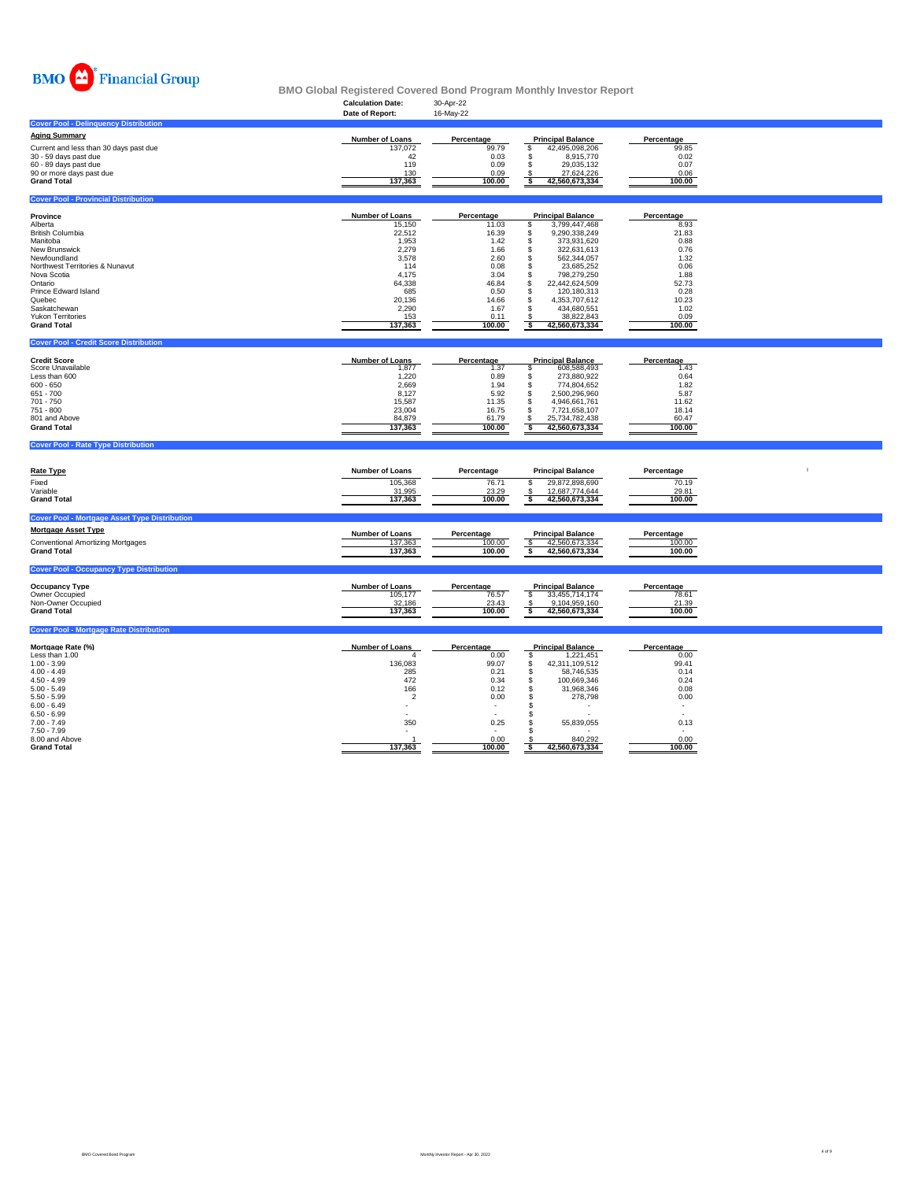

# **Calculation Date:** 30-Apr-22 **BMO Global Registered Covered Bond Program Monthly Investor Report**

|                                                         | Date of Report:             | 16-May-22                |                                                    |                                  |  |
|---------------------------------------------------------|-----------------------------|--------------------------|----------------------------------------------------|----------------------------------|--|
| <b>Cover Pool - Delinguency Distribution</b>            |                             |                          |                                                    |                                  |  |
| <b>Aging Summary</b>                                    |                             |                          |                                                    |                                  |  |
| Current and less than 30 days past due                  | Number of Loans<br>137,072  | Percentage<br>99.79      | <b>Principal Balance</b><br>S                      | Percentage<br>99.85              |  |
| 30 - 59 days past due                                   | 42                          | 0.03                     | 42,495,098,206<br>\$<br>8,915,770                  | 0.02                             |  |
| 60 - 89 days past due                                   | 119                         | 0.09                     | 29.035.132<br>s.                                   | 0.07                             |  |
| 90 or more days past due                                | 130                         | 0.09                     | 27,624,226                                         | 0.06                             |  |
| <b>Grand Total</b>                                      | 137,363                     | 100.00                   | s<br>42,560,673,334                                | 100.00                           |  |
| <b>Cover Pool - Provincial Distribution</b>             |                             |                          |                                                    |                                  |  |
|                                                         |                             |                          |                                                    |                                  |  |
| Province<br>Alberta                                     | Number of Loans<br>15,150   | Percentage<br>11.03      | <b>Principal Balance</b><br>3,799,447,468<br>\$    | Percentage<br>8.93               |  |
| <b>British Columbia</b>                                 | 22,512                      | 16.39                    | 9,290,338,249<br>\$                                | 21.83                            |  |
| Manitoba                                                | 1,953                       | 1.42                     | 373,931,620<br>s                                   | 0.88                             |  |
| New Brunswick                                           | 2,279                       | 1.66                     | S<br>322,631,613                                   | 0.76                             |  |
| Newfoundland                                            | 3,578                       | 2.60                     | 562,344,057<br>\$                                  | 1.32                             |  |
| Northwest Territories & Nunavut                         | 114                         | 0.08                     | \$<br>23,685,252                                   | 0.06                             |  |
| Nova Scotia<br>Ontario                                  | 4,175<br>64,338             | 3.04<br>46.84            | \$<br>798,279,250<br>\$<br>22,442,624,509          | 1.88<br>52.73                    |  |
| Prince Edward Island                                    | 685                         | 0.50                     | S<br>120,180,313                                   | 0.28                             |  |
| Quebec                                                  | 20.136                      | 14.66                    | 4,353,707,612<br>£.                                | 10.23                            |  |
| Saskatchewan                                            | 2,290                       | 1.67                     | 434,680,551<br>\$                                  | 1.02                             |  |
| Yukon Territories                                       | 153                         | 0.11                     | 38,822,843                                         | 0.09                             |  |
| <b>Grand Total</b>                                      | 137,363                     | 100.00                   | $\overline{\mathbf{s}}$<br>42,560,673,334          | 100.00                           |  |
| <b>Cover Pool - Credit Score Distribution</b>           |                             |                          |                                                    |                                  |  |
|                                                         |                             |                          |                                                    |                                  |  |
| <b>Credit Score</b><br>Score Unavailable                | Number of Loans<br>1,877    | Percentage<br>1.37       | <b>Principal Balance</b><br>608,588,493<br>s       | Percentage<br>1.43               |  |
| Less than 600                                           | 1,220                       | 0.89                     | 273,880,922<br>s                                   | 0.64                             |  |
| $600 - 650$                                             | 2,669                       | 1.94                     | 774,804,652<br>S                                   | 1.82                             |  |
| 651 - 700                                               | 8,127                       | 5.92                     | \$<br>2,500,296,960                                | 5.87                             |  |
| 701 - 750                                               | 15,587                      | 11.35                    | \$<br>4,946,661,761                                | 11.62                            |  |
| 751 - 800                                               | 23,004                      | 16.75                    | \$<br>7,721,658,107                                | 18.14                            |  |
| 801 and Above<br><b>Grand Total</b>                     | 84,879<br>137,363           | 61.79<br>100.00          | \$<br>25,734,782,438<br><b>s</b><br>42,560,673,334 | 60.47<br>100.00                  |  |
|                                                         |                             |                          |                                                    |                                  |  |
|                                                         |                             |                          |                                                    |                                  |  |
| <b>Cover Pool - Rate Type Distribution</b>              |                             |                          |                                                    |                                  |  |
|                                                         |                             |                          |                                                    |                                  |  |
| <b>Rate Type</b>                                        | <b>Number of Loans</b>      | Percentage               | <b>Principal Balance</b>                           | Percentage                       |  |
| Fixed                                                   | 105.368                     | 76.71                    | 29,872,898,690<br>s                                | 70.19                            |  |
| Variable                                                | 31,995                      | 23.29                    | 12,687,774,644                                     | 29.81                            |  |
| <b>Grand Total</b>                                      | 137,363                     | 100.00                   | $\frac{\mathbb{S}}{\mathbb{S}}$<br>42,560,673,334  | 100.00                           |  |
| <b>Cover Pool - Mortgage Asset Type Distribution</b>    |                             |                          |                                                    |                                  |  |
| <b>Mortgage Asset Type</b>                              |                             |                          |                                                    |                                  |  |
|                                                         | Number of Loans             | Percentage               | <b>Principal Balance</b>                           | Percentage                       |  |
| Conventional Amortizing Mortgages<br><b>Grand Total</b> | 137,363<br>137,363          | 100.00<br>100.00         | \$<br>42,560,673,334<br><b>s</b><br>42,560,673,334 | 100.00<br>100.00                 |  |
|                                                         |                             |                          |                                                    |                                  |  |
| <b>Cover Pool - Occupancy Type Distribution</b>         |                             |                          |                                                    |                                  |  |
| <b>Occupancy Type</b>                                   |                             |                          |                                                    |                                  |  |
| Owner Occupied                                          | Number of Loans<br>105,177  | Percentage<br>76.57      | <b>Principal Balance</b><br>\$<br>33,455,714,174   | Percentage<br>78.61              |  |
| Non-Owner Occupied                                      | 32,186                      | 23.43                    | 9,104,959,160<br>\$                                | 21.39                            |  |
| <b>Grand Total</b>                                      | 137,363                     | 100.00                   | ्ड<br>42,560,673,334                               | 100.00                           |  |
| <b>Cover Pool - Mortgage Rate Distribution</b>          |                             |                          |                                                    |                                  |  |
|                                                         |                             |                          |                                                    |                                  |  |
| Mortgage Rate (%)<br>Less than 1.00                     | <b>Number of Loans</b><br>4 | Percentage<br>0.00       | <b>Principal Balance</b><br>\$<br>1,221,451        | Percentage<br>0.00               |  |
| $1.00 - 3.99$                                           | 136,083                     | 99.07                    | 42,311,109,512<br>s                                | 99.41                            |  |
| $4.00 - 4.49$                                           | 285                         | 0.21                     | \$<br>58,746,535                                   | 0.14                             |  |
| $4.50 - 4.99$                                           | 472                         | 0.34                     | 100,669,346<br>s.                                  | 0.24                             |  |
| $5.00 - 5.49$                                           | 166                         | 0.12                     | \$<br>31,968,346                                   | 0.08                             |  |
| $5.50 - 5.99$<br>$6.00 - 6.49$                          | $\overline{2}$              | 0.00                     | \$<br>278,798<br>\$                                | 0.00<br>$\overline{\phantom{a}}$ |  |
| $6.50 - 6.99$                                           | $\overline{\phantom{a}}$    |                          | \$                                                 | $\overline{\phantom{a}}$         |  |
| $7.00 - 7.49$                                           | 350                         | 0.25                     | 55,839,055<br>\$                                   | 0.13                             |  |
| $7.50 - 7.99$                                           | $\overline{\phantom{a}}$    | $\overline{\phantom{a}}$ | s                                                  | $\overline{\phantom{a}}$         |  |
| 8.00 and Above<br><b>Grand Total</b>                    | 137,363                     | 0.00<br>100.00           | 840,292<br>42,560,673,334<br>\$                    | 0.00<br>100.00                   |  |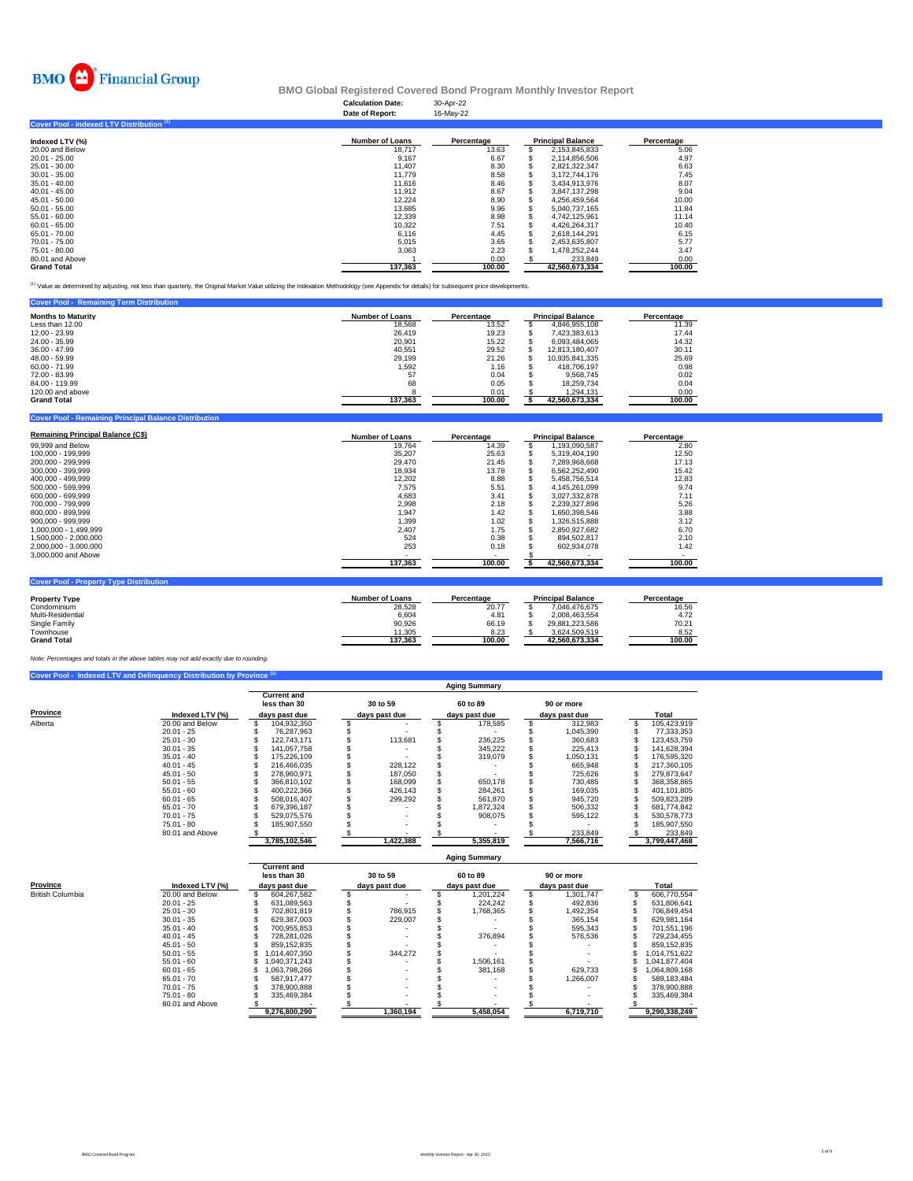

## **Calculation Date:** 30-Apr-22 **BMO Global Registered Covered Bond Program Monthly Investor Report**

|                                           | Date of Report:        | 16-May-22  |                          |            |
|-------------------------------------------|------------------------|------------|--------------------------|------------|
| Cover Pool - Indexed LTV Distribution (1) |                        |            |                          |            |
| Indexed LTV (%)                           | <b>Number of Loans</b> | Percentage | <b>Principal Balance</b> | Percentage |
| 20.00 and Below                           | 18,717                 | 13.63      | 2,153,845,833            | 5.06       |
| 20.01 - 25.00                             | 9,167                  | 6.67       | 2.114.856.506            | 4.97       |
| 25.01 - 30.00                             | 11,407                 | 8.30       | 2.821.322.347            | 6.63       |
| $30.01 - 35.00$                           | 11,779                 | 8.58       | 3,172,744,176            | 7.45       |
| 35.01 - 40.00                             | 11.616                 | 8.46       | 3.434.913.976            | 8.07       |
| $40.01 - 45.00$                           | 11.912                 | 8.67       | 3.847.137.298            | 9.04       |
| 45.01 - 50.00                             | 12.224                 | 8.90       | 4.256.459.564            | 10.00      |
| $50.01 - 55.00$                           | 13.685                 | 9.96       | 5.040.737.165            | 11.84      |
| 55.01 - 60.00                             | 12.339                 | 8.98       | 4.742.125.961            | 11.14      |
| 60.01 - 65.00                             | 10,322                 | 7.51       | 4,426,264,317            | 10.40      |
| 65.01 - 70.00                             | 6,116                  | 4.45       | 2,618,144,291            | 6.15       |
| 70.01 - 75.00                             | 5,015                  | 3.65       | 2,453,635,807            | 5.77       |
| 75.01 - 80.00                             | 3,063                  | 2.23       | 1,478,252,244            | 3.47       |
| 80.01 and Above                           |                        | 0.00       | 233.849                  | 0.00       |
| <b>Grand Total</b>                        | 137.363                | 100.00     | 42.560.673.334           | 100.00     |

(1) Value as determined by adjusting, not less than quarterly, the Original Market Value utilizing the Indexation Methodology (see Appendix for details) for subsequent price developments.

| <b>Cover Pool - Remaining Term Distribution</b> |                        |            |                          |            |
|-------------------------------------------------|------------------------|------------|--------------------------|------------|
| <b>Months to Maturity</b>                       | <b>Number of Loans</b> | Percentage | <b>Principal Balance</b> | Percentage |
| Less than 12.00                                 | 18.568                 | 13.52      | 4.846.955.108            | 11.39      |
| 12.00 - 23.99                                   | 26,419                 | 19.23      | 7.423.383.613            | 17.44      |
| 24.00 - 35.99                                   | 20,901                 | 15.22      | 6.093.484.065            | 14.32      |
| 36.00 - 47.99                                   | 40,551                 | 29.52      | 12.813.180.407           | 30.11      |
| 48.00 - 59.99                                   | 29,199                 | 21.26      | 10.935.841.335           | 25.69      |
| 60.00 - 71.99                                   | 1,592                  | 1.16       | 418.706.197              | 0.98       |
| 72.00 - 83.99                                   | 57                     | 0.04       | 9.568.745                | 0.02       |
| 84.00 - 119.99                                  | 68                     | 0.05       | 18.259.734               | 0.04       |
| 120,00 and above                                |                        | 0.01       | 1.294.131                | 0.00       |
| <b>Grand Total</b>                              | 137,363                | 100.00     | 42,560,673,334           | 100.00     |
|                                                 |                        |            |                          |            |

| <b>Remaining Principal Balance (C\$)</b>       | <b>Number of Loans</b> | Percentage | <b>Principal Balance</b> | Percentage |
|------------------------------------------------|------------------------|------------|--------------------------|------------|
| 99,999 and Below                               | 19.764                 | 14.39      | 1.193.090.587            | 2.80       |
| 100.000 - 199.999                              | 35,207                 | 25.63      | 5.319.404.190            | 12.50      |
| 200.000 - 299.999                              | 29.470                 | 21.45      | 7.289.968.668            | 17.13      |
| 300.000 - 399.999                              | 18.934                 | 13.78      | 6.562.252.490            | 15.42      |
| 400.000 - 499.999                              | 12.202                 | 8.88       | 5.458.756.514            | 12.83      |
| 500.000 - 599.999                              | 7.575                  | 5.51       | 4.145.261.099            | 9.74       |
| 600.000 - 699.999                              | 4.683                  | 3.41       | 3.027.332.878            | 7.11       |
| 700.000 - 799.999                              | 2.998                  | 2.18       | 2.239.327.898            | 5.26       |
| 800.000 - 899.999                              | 1.947                  | 1.42       | 1.650.398.546            | 3.88       |
| 900.000 - 999.999                              | 1,399                  | 1.02       | 1,326,515,888            | 3.12       |
| 1.000.000 - 1.499.999                          | 2.407                  | 1.75       | 2.850.927.682            | 6.70       |
| 1.500.000 - 2.000.000                          | 524                    | 0.38       | 894.502.817              | 2.10       |
| 2,000,000 - 3,000,000                          | 253                    | 0.18       | 602.934.078              | 1.42       |
| 3,000,000 and Above                            |                        |            |                          | $\sim$     |
|                                                | 137,363                | 100.00     | 42,560,673,334           | 100.00     |
|                                                |                        |            |                          |            |
| <b>Cover Pool - Property Type Distribution</b> |                        |            |                          |            |

| <b>Number of Loans</b> | Percentage |                |                          | Percentage |
|------------------------|------------|----------------|--------------------------|------------|
| 28,528                 | 20.77      | 7.046.476.675  |                          | 16.56      |
| 6.604                  | 4.81       | 2.008.463.554  |                          | 4.72       |
| 90.926                 | 66.19      | 29.881.223.586 |                          | 70.21      |
| 11.305                 | 8.23       | 3.624.509.519  |                          | 8.52       |
| 137.363                | 100.00     | 42.560.673.334 |                          | 100.00     |
|                        |            |                | <b>Principal Balance</b> |            |

*Note: Percentages and totals in the above tables may not add exactly due to rounding.*

**ng Principal Ba** 

|          |                 | <b>Aging Summary</b> |                                    |  |               |  |               |  |               |               |
|----------|-----------------|----------------------|------------------------------------|--|---------------|--|---------------|--|---------------|---------------|
|          |                 |                      | <b>Current and</b><br>less than 30 |  | 30 to 59      |  | 60 to 89      |  | 90 or more    |               |
| Province | Indexed LTV (%) |                      | days past due                      |  | days past due |  | days past due |  | days past due | Total         |
| Alberta  | 20.00 and Below |                      | 104,932,350                        |  |               |  | 178,585       |  | 312,983       | 105,423,919   |
|          | $20.01 - 25$    |                      | 76.287.963                         |  |               |  |               |  | 1.045.390     | 77,333,353    |
|          | $25.01 - 30$    |                      | 122.743.171                        |  | 113.681       |  | 236.225       |  | 360.683       | 123.453.759   |
|          | $30.01 - 35$    |                      | 141.057.758                        |  |               |  | 345.222       |  | 225.413       | 141.628.394   |
|          | $35.01 - 40$    |                      | 175,226,109                        |  |               |  | 319,079       |  | 1.050.131     | 176.595.320   |
|          | $40.01 - 45$    |                      | 216.466.035                        |  | 228.122       |  |               |  | 665.948       | 217.360.105   |
|          | $45.01 - 50$    |                      | 278.960.971                        |  | 187.050       |  |               |  | 725.626       | 279.873.647   |
|          | $50.01 - 55$    |                      | 366.810.102                        |  | 168,099       |  | 650.178       |  | 730.485       | 368.358.865   |
|          | $55.01 - 60$    |                      | 400,222,366                        |  | 426,143       |  | 284,261       |  | 169.035       | 401,101,805   |
|          | $60.01 - 65$    |                      | 508.016.407                        |  | 299,292       |  | 561.870       |  | 945.720       | 509,823,289   |
|          | $65.01 - 70$    |                      | 679.396.187                        |  |               |  | 1,872,324     |  | 506.332       | 681.774.842   |
|          | $70.01 - 75$    |                      | 529.075.576                        |  |               |  | 908.075       |  | 595,122       | 530, 578, 773 |
|          | $75.01 - 80$    |                      | 185.907.550                        |  |               |  |               |  |               | 185.907.550   |
|          | 80.01 and Above |                      |                                    |  |               |  |               |  | 233,849       | 233,849       |
|          |                 |                      | 3,785,102,546                      |  | 1,422,388     |  | 5,355,819     |  | 7,566,716     | 3,799,447,468 |

|                  |                 | <b>Aging Summary</b> |                                    |  |               |  |                            |  |                            |  |               |  |
|------------------|-----------------|----------------------|------------------------------------|--|---------------|--|----------------------------|--|----------------------------|--|---------------|--|
| Province         | Indexed LTV (%) |                      | <b>Current and</b><br>less than 30 |  | 30 to 59      |  | 60 to 89                   |  | 90 or more                 |  | Total         |  |
| British Columbia | 20.00 and Below |                      | days past due<br>604.267.582       |  | days past due |  | days past due<br>1.201.224 |  | days past due<br>1.301.747 |  | 606.770.554   |  |
|                  |                 |                      |                                    |  |               |  |                            |  |                            |  |               |  |
|                  | $20.01 - 25$    |                      | 631.089.563                        |  |               |  | 224.242                    |  | 492.836                    |  | 631.806.641   |  |
|                  | $25.01 - 30$    |                      | 702.801.819                        |  | 786.915       |  | 1.768.365                  |  | 1.492.354                  |  | 706.849.454   |  |
|                  | $30.01 - 35$    |                      | 629.387.003                        |  | 229.007       |  |                            |  | 365.154                    |  | 629.981.164   |  |
|                  | $35.01 - 40$    |                      | 700.955.853                        |  |               |  |                            |  | 595.343                    |  | 701.551.196   |  |
|                  | $40.01 - 45$    |                      | 728.281.026                        |  |               |  | 376.894                    |  | 576,536                    |  | 729.234.455   |  |
|                  | $45.01 - 50$    |                      | 859.152.835                        |  |               |  |                            |  |                            |  | 859.152.835   |  |
|                  | $50.01 - 55$    |                      | .014.407.350                       |  | 344.272       |  |                            |  |                            |  | 1.014.751.622 |  |
|                  | $55.01 - 60$    |                      | 040.371.243                        |  |               |  | 1.506.161                  |  |                            |  | 1.041.877.404 |  |
|                  | $60.01 - 65$    |                      | .063.798.266                       |  |               |  | 381.168                    |  | 629.733                    |  | 1,064,809,168 |  |
|                  | $65.01 - 70$    |                      | 587.917.477                        |  |               |  |                            |  | 1.266.007                  |  | 589.183.484   |  |
|                  | $70.01 - 75$    |                      | 378,900,888                        |  |               |  |                            |  |                            |  | 378,900,888   |  |
|                  | $75.01 - 80$    |                      | 335.469.384                        |  |               |  |                            |  |                            |  | 335.469.384   |  |
|                  | 80.01 and Above |                      |                                    |  |               |  |                            |  |                            |  |               |  |
|                  |                 |                      | 9.276.800.290                      |  | 1.360.194     |  | 5.458.054                  |  | 6,719,710                  |  | 9.290.338.249 |  |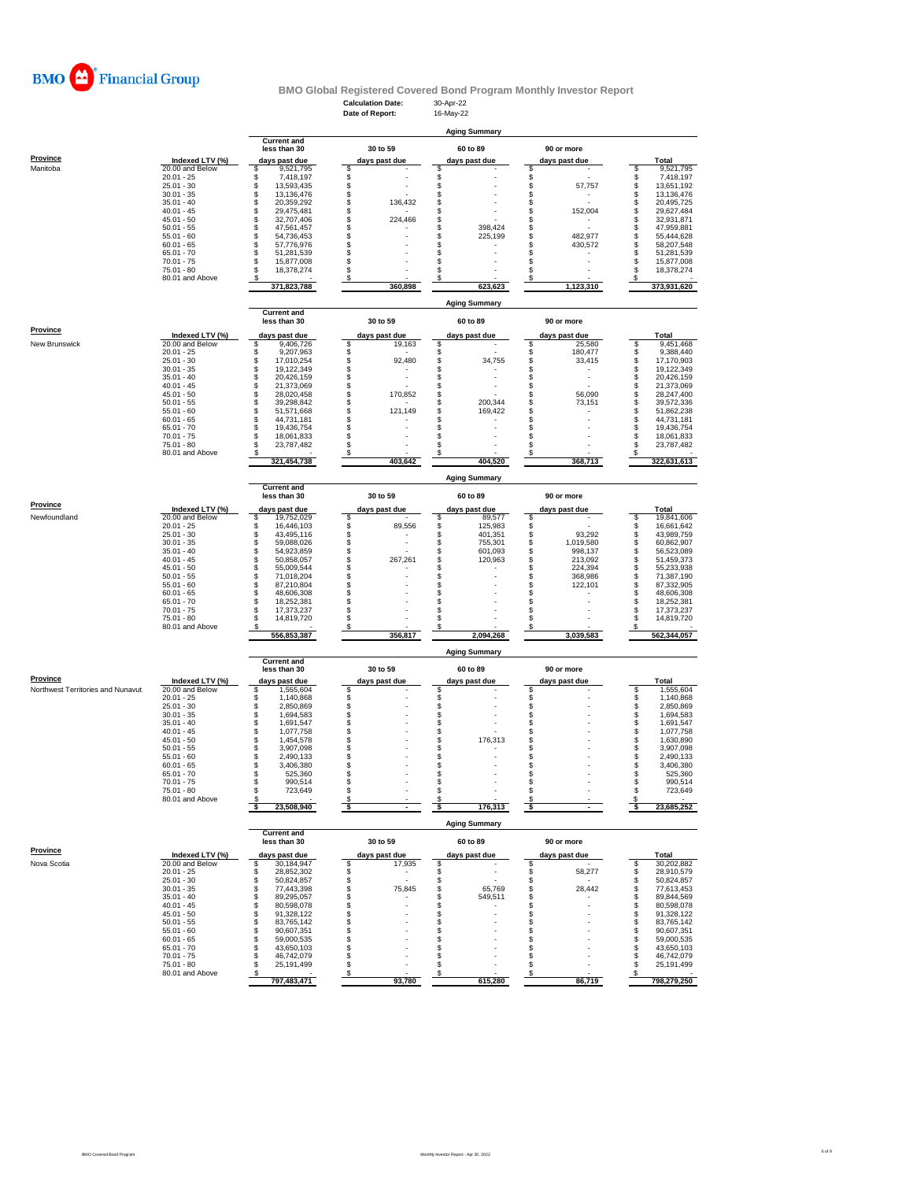

## **Calculation Date:** 30-Apr-22 **BMO Global Registered Covered Bond Program Monthly Investor Report**

|                                   |                                    |                                      | Date of Report:                | 16-May-22                      |                                  |                                      |
|-----------------------------------|------------------------------------|--------------------------------------|--------------------------------|--------------------------------|----------------------------------|--------------------------------------|
|                                   |                                    |                                      |                                | <b>Aging Summary</b>           |                                  |                                      |
|                                   |                                    | <b>Current and</b>                   |                                |                                |                                  |                                      |
|                                   |                                    | less than 30                         | 30 to 59                       | 60 to 89                       | 90 or more                       |                                      |
| <b>Province</b>                   | Indexed LTV (%)                    | days past due                        | days past due                  | days past due                  | days past due                    | Total                                |
| Manitoba                          | 20.00 and Below                    | \$<br>9,521,795                      | \$                             | \$                             | \$                               | S<br>9,521,795                       |
|                                   | $20.01 - 25$<br>$25.01 - 30$       | \$<br>7,418,197<br>S<br>13,593,435   | \$<br>\$                       | \$<br>\$                       | \$<br>\$<br>57,757               | \$<br>7,418,197<br>\$<br>13,651,192  |
|                                   | $30.01 - 35$                       | s<br>13,136,476                      | \$                             | \$                             | \$                               | s<br>13,136,476                      |
|                                   | $35.01 - 40$                       | \$<br>20,359,292                     | \$<br>136,432                  | \$                             | \$                               | \$<br>20,495,725                     |
|                                   | $40.01 - 45$<br>$45.01 - 50$       | \$<br>29,475,481<br>\$<br>32,707,406 | \$                             | \$<br>S                        | 152,004<br>\$<br>\$              | \$<br>29,627,484<br>32,931,871       |
|                                   | $50.01 - 55$                       | \$<br>47,561,457                     | \$<br>224,466<br>\$            | \$<br>398,424                  | \$                               | \$<br>\$<br>47,959,881               |
|                                   | $55.01 - 60$                       | \$<br>54,736,453                     | \$                             | \$<br>225,199                  | \$<br>482,977                    | \$<br>55,444,628                     |
|                                   | $60.01 - 65$                       | \$<br>57,776,976                     | \$                             | \$                             | \$<br>430,572                    | \$<br>58,207,548                     |
|                                   | $65.01 - 70$<br>$70.01 - 75$       | \$<br>51,281,539<br>s<br>15,877,008  | \$<br>\$                       | \$<br>\$                       | \$<br>\$                         | \$<br>51,281,539<br>s<br>15,877,008  |
|                                   | 75.01 - 80                         | \$<br>18,378,274                     | \$.                            | \$                             | s                                | S<br>18,378,274                      |
|                                   | 80.01 and Above                    | s                                    | \$                             | \$                             | \$                               | s                                    |
|                                   |                                    | 371.823.788                          | 360,898                        | 623,623                        | 1,123,310                        | 373,931,620                          |
|                                   |                                    |                                      |                                | <b>Aging Summary</b>           |                                  |                                      |
|                                   |                                    | <b>Current and</b>                   |                                |                                |                                  |                                      |
|                                   |                                    | less than 30                         | 30 to 59                       | 60 to 89                       | 90 or more                       |                                      |
| Province                          | Indexed LTV (%)                    | days past due                        | days past due                  | days past due                  | days past due                    | Total                                |
| New Brunswick                     | 20.00 and Below                    | \$<br>9,406,726                      | \$<br>19,163                   | \$                             | \$<br>25,580                     | \$<br>9,451,468                      |
|                                   | $20.01 - 25$                       | \$<br>9,207,963                      | \$                             | \$                             | \$<br>180,477                    | \$<br>9,388,440                      |
|                                   | $25.01 - 30$<br>$30.01 - 35$       | \$<br>17,010,254<br>\$<br>19,122,349 | \$<br>92,480<br>\$             | \$<br>34,755<br>\$             | \$<br>33,415<br>\$               | \$<br>17,170,903<br>\$<br>19,122,349 |
|                                   | $35.01 - 40$                       | \$<br>20,426,159                     | \$<br>$\overline{\phantom{a}}$ | \$<br>÷                        | \$<br>$\overline{a}$             | \$<br>20,426,159                     |
|                                   | $40.01 - 45$                       | \$<br>21,373,069                     | \$                             | \$<br>$\overline{\phantom{a}}$ | \$                               | \$<br>21,373,069                     |
|                                   | $45.01 - 50$<br>$50.01 - 55$       | \$<br>28,020,458<br>\$               | \$<br>170,852<br>\$            | \$<br>S<br>200,344             | 56,090<br>\$<br>\$               | \$<br>28,247,400                     |
|                                   | $55.01 - 60$                       | 39,298,842<br>s<br>51,571,668        | \$<br>121,149                  | \$<br>169,422                  | 73,151<br>\$                     | \$<br>39,572,336<br>\$<br>51,862,238 |
|                                   | $60.01 - 65$                       | \$<br>44,731,181                     | \$                             | \$                             | s                                | \$<br>44,731,181                     |
|                                   | $65.01 - 70$                       | \$<br>19,436,754                     | \$                             | \$                             | S                                | S<br>19,436,754                      |
|                                   | $70.01 - 75$<br>75.01 - 80         | s<br>18.061.833<br>23,787,482<br>s   | \$<br>\$                       | S<br>S                         | \$<br>S                          | s<br>18,061,833<br>s<br>23,787,482   |
|                                   | 80.01 and Above                    |                                      | S                              |                                |                                  |                                      |
|                                   |                                    | 321,454,738                          | 403,642                        | 404,520                        | 368,713                          | 322,631,613                          |
|                                   |                                    |                                      |                                |                                |                                  |                                      |
|                                   |                                    | <b>Current and</b>                   |                                | <b>Aging Summary</b>           |                                  |                                      |
|                                   |                                    | less than 30                         | 30 to 59                       | 60 to 89                       | 90 or more                       |                                      |
| Province                          | Indexed LTV (%)                    | days past due                        | days past due                  | days past due                  | days past due                    | Total                                |
| Newfoundland                      | 20.00 and Below                    | \$<br>19,752,029                     | \$                             | 89,577<br>\$                   | \$                               | 19,841,606<br>s                      |
|                                   | $20.01 - 25$                       | s<br>16,446,103                      | \$<br>89,556                   | \$<br>125,983                  | \$                               | \$<br>16,661,642                     |
|                                   | $25.01 - 30$                       | \$<br>43,495,116                     | \$<br>$\overline{a}$           | \$<br>401,351                  | \$<br>93,292                     | \$<br>43,989,759                     |
|                                   | $30.01 - 35$<br>$35.01 - 40$       | \$<br>59,088,026<br>\$<br>54,923,859 | \$<br>\$                       | \$<br>755,301<br>\$<br>601,093 | \$<br>1,019,580<br>\$<br>998,137 | \$<br>60,862,907<br>\$<br>56,523,089 |
|                                   | $40.01 - 45$                       | \$<br>50,858,057                     | \$<br>267,261                  | \$<br>120,963                  | \$<br>213,092                    | \$<br>51,459,373                     |
|                                   | $45.01 - 50$                       | \$<br>55,009,544                     | \$                             | \$                             | \$<br>224,394                    | s<br>S<br>55,233,938                 |
|                                   | $50.01 - 55$                       | \$<br>71,018,204                     | \$                             | \$                             | \$<br>368,986                    | 71,387,190                           |
|                                   | $55.01 - 60$<br>$60.01 - 65$       | \$<br>87,210,804<br>\$<br>48,606,308 | \$<br>\$                       | \$<br>\$                       | \$<br>122,101<br>S               | \$<br>87,332,905<br>\$<br>48,606,308 |
|                                   | $65.01 - 70$                       | S<br>18,252,381                      | \$                             | \$                             | \$                               | \$<br>18,252,381                     |
|                                   | $70.01 - 75$                       | s<br>17,373,237                      | \$                             | S                              | s                                | s<br>17,373,237                      |
|                                   | 75.01 - 80<br>80.01 and Above      | s<br>14,819,720                      | \$.                            | S<br>S                         | S                                | S<br>14,819,720                      |
|                                   |                                    | 556,853,387                          | \$<br>356,817                  | 2,094,268                      | 3,039,583                        | S<br>562,344,057                     |
|                                   |                                    |                                      |                                |                                |                                  |                                      |
|                                   |                                    |                                      |                                | <b>Aging Summary</b>           |                                  |                                      |
|                                   |                                    | <b>Current and</b><br>less than 30   | 30 to 59                       | 60 to 89                       | 90 or more                       |                                      |
| <b>Province</b>                   | Indexed LTV (%)                    | days past due                        | days past due                  | days past due                  | days past due                    | Total                                |
| Northwest Territories and Nunavut | 20.00 and Below                    | \$<br>1,555,604                      | \$                             | \$                             | s                                | \$<br>1,555,604                      |
|                                   | $20.01 - 25$                       | \$<br>1,140,868                      | \$                             |                                | \$                               | \$<br>1,140,868                      |
|                                   | $25.01 - 30$                       | \$<br>2,850,869                      | \$                             | \$\$                           | \$                               | 2,850,869                            |
|                                   | $30.01 - 35$<br>$35.01 - 40$       | \$<br>1,694,583<br>\$<br>1,691,547   | \$                             | \$                             | \$<br>\$                         | \$<br>1,694,583<br>\$<br>1,691,547   |
|                                   | $40.01 - 45$                       | \$<br>1,077,758                      | \$                             | \$                             | \$                               | \$<br>1,077,758                      |
|                                   | $45.01 - 50$                       | \$<br>1,454,578                      | \$                             | \$<br>176,313                  | \$                               | \$<br>1,630,890                      |
|                                   | $50.01 - 55$<br>$55.01 - 60$       | \$<br>3,907,098<br>\$<br>2,490,133   | \$<br>\$                       | \$<br>\$                       | \$<br>\$                         | \$<br>3,907,098<br>\$<br>2,490,133   |
|                                   | $60.01 - 65$                       | \$<br>3,406,380                      | \$                             | \$                             | \$                               | Ŝ<br>3,406,380                       |
|                                   | 65.01 - 70                         | S<br>525,360                         | \$                             | \$                             | \$                               | S<br>525,360                         |
|                                   | 70.01 - 75                         | 990,514                              |                                |                                |                                  | 990,514                              |
|                                   | $75.01 - 80$<br>80.01 and Above    | \$<br>723,649<br>S                   | \$<br>\$                       | \$<br>S                        | \$<br>s                          | \$<br>723,649<br>S                   |
|                                   |                                    | 23,508,940                           | \$                             | \$<br>176,313                  | \$                               | 23,685,252<br>-S                     |
|                                   |                                    |                                      |                                |                                |                                  |                                      |
|                                   |                                    |                                      |                                | <b>Aging Summary</b>           |                                  |                                      |
|                                   |                                    | <b>Current and</b><br>less than 30   | 30 to 59                       | 60 to 89                       | 90 or more                       |                                      |
| <b>Province</b>                   |                                    |                                      |                                |                                |                                  |                                      |
| Nova Scotia                       | Indexed LTV (%)<br>20.00 and Below | days past due<br>S<br>30.184.947     | days past due<br>\$<br>17,935  | days past due<br>\$            | days past due<br>\$              | Total<br>30,202,882<br>S             |
|                                   | $20.01 - 25$                       | \$<br>28,852,302                     | \$<br>$\overline{\phantom{a}}$ | \$                             | 58,277<br>\$                     | \$<br>28,910,579                     |
|                                   | $25.01 - 30$                       | 50,824,857<br>\$                     | \$<br>$\overline{\phantom{a}}$ | \$<br>$\overline{\phantom{a}}$ | \$                               | \$<br>50,824,857                     |
|                                   | $30.01 - 35$<br>$35.01 - 40$       | \$<br>77,443,398<br>\$<br>89.295.057 | \$<br>75,845<br>\$             | \$<br>65,769<br>\$<br>549,511  | \$<br>28,442<br>\$               | \$<br>77,613,453<br>\$<br>89,844,569 |
|                                   | $40.01 - 45$                       | \$<br>80,598,078                     | \$                             | \$                             | s                                | \$<br>80,598,078                     |
|                                   | $45.01 - 50$                       | \$<br>91,328,122                     | \$                             | \$                             | s                                | 91,328,122<br>\$                     |
|                                   | $50.01 - 55$                       | \$<br>83,765,142                     | \$                             | \$                             | s                                | \$<br>83,765,142                     |
|                                   | $55.01 - 60$<br>$60.01 - 65$       | 90,607,351<br>\$<br>\$<br>59,000,535 | \$<br>\$                       | \$<br>\$                       | \$<br>\$                         | 90,607,351<br>S<br>s<br>59,000,535   |
|                                   | $65.01 - 70$                       | \$<br>43,650,103                     | \$                             | \$                             | s                                | \$<br>43,650,103                     |
|                                   | $70.01 - 75$                       | \$<br>46,742,079                     | \$                             | \$                             | \$                               | \$<br>46,742,079                     |
|                                   | $75.01 - 80$                       | 25,191,499<br>\$                     | \$                             | \$                             | S                                | \$<br>25,191,499                     |
|                                   | 80.01 and Above                    | s<br>797,483,471                     | \$<br>93,780                   | S<br>615,280                   | \$<br>86,719                     | s<br>798,279,250                     |
|                                   |                                    |                                      |                                |                                |                                  |                                      |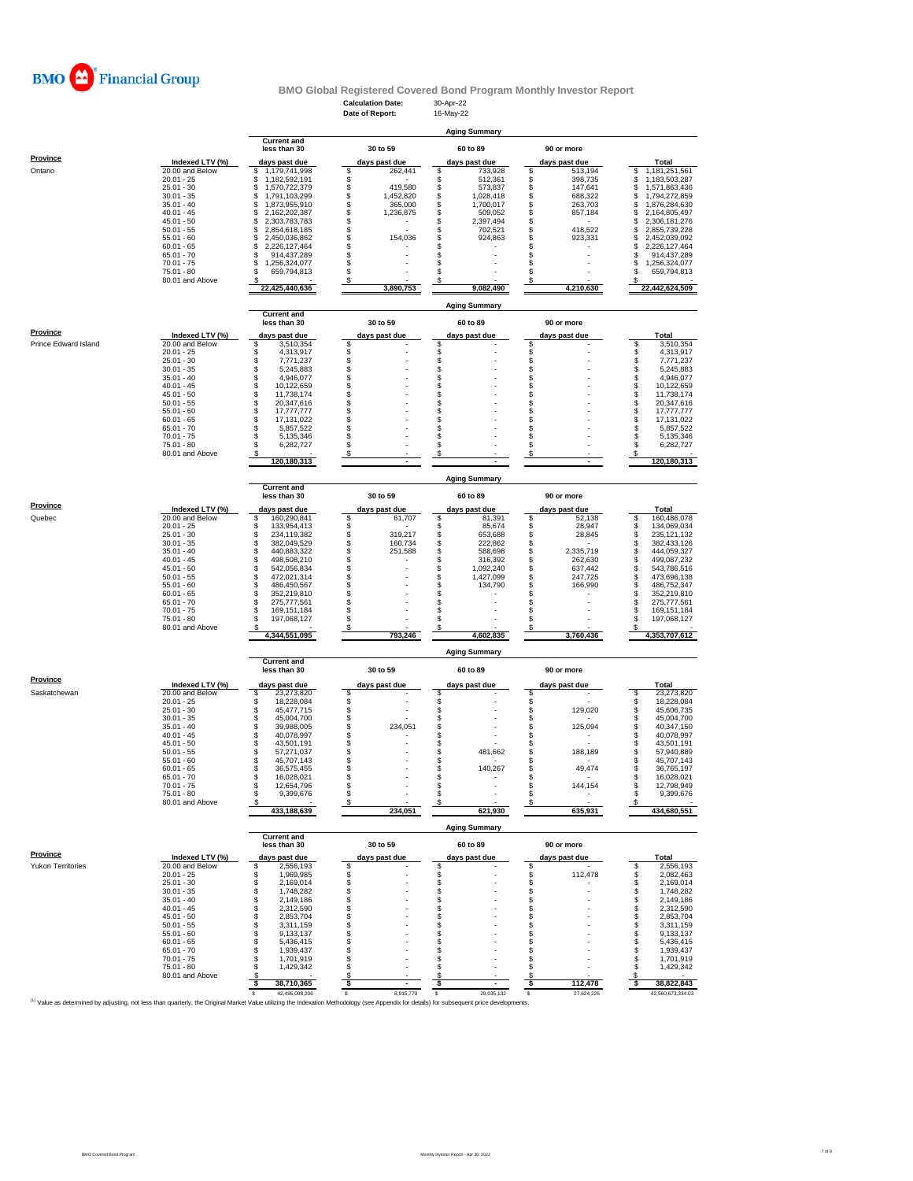

# **BMO Global Registered Covered Bond Program Monthly Investor Report**<br>Calculation Date: 30-Apr-22<br>**Referent:** 16-May-22

|                      |                                    |                                            | <b>Calculation Date:</b>         | 30-Apr-22                        |                                  |                                             |
|----------------------|------------------------------------|--------------------------------------------|----------------------------------|----------------------------------|----------------------------------|---------------------------------------------|
|                      |                                    |                                            | Date of Report:                  | 16-May-22                        |                                  |                                             |
|                      |                                    |                                            |                                  | <b>Aging Summary</b>             |                                  |                                             |
|                      |                                    | <b>Current and</b><br>less than 30         | 30 to 59                         | 60 to 89                         | 90 or more                       |                                             |
| <b>Province</b>      |                                    |                                            |                                  |                                  |                                  |                                             |
| Ontario              | Indexed LTV (%)<br>20.00 and Below | days past due<br>1,179,741,998<br>S        | days past due<br>\$<br>262,441   | days past due<br>733,928<br>\$   | days past due<br>513,194<br>\$   | Total<br>1,181,251,561<br>\$                |
|                      | $20.01 - 25$                       | 1,182,592,191<br>S                         | \$                               | \$<br>512,361                    | \$<br>398,735                    | \$<br>1,183,503,287                         |
|                      | $25.01 - 30$<br>$30.01 - 35$       | 1,570,722,379<br>S<br>\$<br>1,791,103,299  | \$<br>419,580<br>\$<br>1,452,820 | \$<br>573,837<br>\$<br>1,028,418 | \$<br>147,641<br>\$<br>688,322   | \$<br>1,571,863,436<br>\$<br>1,794,272,859  |
|                      | $35.01 - 40$                       | \$<br>1,873,955,910                        | \$<br>365,000                    | \$<br>1.700.017                  | \$<br>263,703                    | S<br>1,876,284,630                          |
|                      | $40.01 - 45$                       | \$<br>2,162,202,387                        | \$<br>1,236,875                  | \$<br>509,052                    | \$<br>857,184                    | \$<br>2,164,805,497                         |
|                      | $45.01 - 50$<br>$50.01 - 55$       | \$<br>2,303,783,783<br>\$<br>2,854,618,185 | \$<br>\$                         | \$<br>2,397,494<br>\$<br>702,521 | \$<br>\$<br>418,522              | \$<br>2,306,181,276<br>\$<br>2,855,739,228  |
|                      | $55.01 - 60$                       | \$<br>2,450,036,862                        | \$<br>154,036                    | \$<br>924,863                    | \$<br>923,331                    | \$<br>2,452,039,092                         |
|                      | $60.01 - 65$                       | 2,226,127,464<br>S                         | \$                               | \$                               | s                                | S<br>2,226,127,464                          |
|                      | $65.01 - 70$<br>$70.01 - 75$       | 914,437,289<br>1,256,324,077<br>S          | \$<br>\$                         | \$<br>\$                         | \$<br>s                          | 914,437,289<br>s<br>\$<br>1,256,324,077     |
|                      | 75.01 - 80                         | 659,794,813                                | \$                               | \$                               | s                                | 659,794,813<br>S                            |
|                      | 80.01 and Above                    |                                            | \$                               |                                  |                                  |                                             |
|                      |                                    | 22,425,440,636                             | 3,890,753                        | 9,082,490                        | 4,210,630                        | 22,442,624,509                              |
|                      |                                    |                                            |                                  | <b>Aging Summary</b>             |                                  |                                             |
|                      |                                    | <b>Current and</b><br>less than 30         | 30 to 59                         | 60 to 89                         | 90 or more                       |                                             |
| Province             |                                    |                                            |                                  |                                  |                                  |                                             |
| Prince Edward Island | Indexed LTV (%)<br>20.00 and Below | days past due<br>S<br>3,510,354            | days past due<br>\$              | days past due<br>\$              | <u>days past due</u><br>S        | Total<br>\$<br>3,510,354                    |
|                      | $20.01 - 25$                       | S<br>4,313,917                             |                                  | \$                               | \$                               | 4,313,917<br>\$                             |
|                      | $25.01 - 30$                       | \$<br>7,771,237                            | \$\$                             | \$<br>\$                         | \$                               | Ś.<br>7,771,237                             |
|                      | $30.01 - 35$<br>$35.01 - 40$       | \$<br>5,245,883<br>\$<br>4,946,077         | \$                               | \$                               | \$                               | \$<br>5,245,883<br>\$<br>4,946,077          |
|                      | $40.01 - 45$                       | s<br>10,122,659                            | \$                               | \$                               | S                                | \$<br>10,122,659                            |
|                      | $45.01 - 50$                       | \$<br>11,738,174                           |                                  | \$                               | \$                               | 11,738,174                                  |
|                      | $50.01 - 55$<br>$55.01 - 60$       | \$<br>20,347,616<br>\$<br>17,777,777       | \$<br>\$                         | \$<br>\$                         | \$<br>\$                         | \$<br>20,347,616<br>17,777,777              |
|                      | $60.01 - 65$                       | s<br>17,131,022                            | \$                               | \$                               | s                                | \$<br>\$<br>17,131,022                      |
|                      | $65.01 - 70$                       | S<br>5,857,522                             | \$                               | \$                               | s                                | 5,857,522                                   |
|                      | $70.01 - 75$<br>$75.01 - 80$       | S<br>5,135,346<br>6,282,727<br>\$.         | \$<br>\$                         | \$<br>\$                         | \$<br>S                          | $\ddot{\$}$<br>5,135,346<br>\$<br>6,282,727 |
|                      | 80.01 and Above                    |                                            | \$                               | \$                               | s                                | \$                                          |
|                      |                                    | 120,180,313                                |                                  |                                  |                                  | 120,180,313                                 |
|                      |                                    |                                            |                                  | <b>Aging Summary</b>             |                                  |                                             |
|                      |                                    | <b>Current and</b>                         |                                  |                                  |                                  |                                             |
| <b>Province</b>      |                                    | less than 30                               | 30 to 59                         | 60 to 89                         | 90 or more                       |                                             |
|                      | Indexed LTV (%)                    | days past due                              | days past due                    | days past due                    | days past due                    | Total                                       |
| Quebec               | 20.00 and Below<br>$20.01 - 25$    | s<br>160,290,841<br>s<br>133,954,413       | \$<br>61,707<br>\$               | \$<br>81,391<br>\$<br>85,674     | 52,138<br>s<br>\$<br>28,947      | 160,486,078<br>\$<br>\$<br>134,069,034      |
|                      | $25.01 - 30$                       | \$<br>234,119,382                          | \$<br>319,217                    | \$<br>653,688                    | \$<br>28,845                     | \$<br>235, 121, 132                         |
|                      | $30.01 - 35$                       | \$<br>382,049,529                          | \$<br>160,734                    | \$<br>222,862                    | \$                               | \$<br>382,433,126                           |
|                      | $35.01 - 40$<br>$40.01 - 45$       | 440,883,322<br>\$<br>\$<br>498,508,210     | \$<br>251,588<br>\$              | \$<br>588,698<br>\$<br>316,392   | \$<br>2,335,719<br>\$<br>262,630 | \$<br>444,059,327<br>š.<br>499,087,232      |
|                      | $45.01 - 50$                       | \$<br>542,056,834                          | \$                               | \$<br>1,092,240                  | \$<br>637,442                    | \$<br>543,786,516                           |
|                      | $50.01 - 55$                       | \$<br>472,021,314                          | \$                               | \$<br>1,427,099                  | \$<br>247,725                    | \$<br>473,696,138                           |
|                      | $55.01 - 60$<br>$60.01 - 65$       | \$<br>486,450,567<br>\$<br>352,219,810     | \$                               | \$<br>134,790<br>\$              | 166,990<br>\$<br>s               | \$<br>486,752,347<br>352,219,810            |
|                      | $65.01 - 70$                       | \$<br>275,777,561                          | \$                               | \$                               | \$                               | \$<br>275,777,561                           |
|                      | $70.01 - 75$                       | S<br>169, 151, 184                         | \$                               | \$                               | \$                               | \$<br>169,151,184                           |
|                      | 75.01 - 80<br>80.01 and Above      | 197,068,127<br>S                           | \$<br>\$                         | \$<br>\$                         | Ŝ                                | S<br>197,068,127<br>S                       |
|                      |                                    | 4,344,551,095                              | 793,246                          | 4,602,835                        | 3,760,436                        | 4,353,707,612                               |
|                      |                                    |                                            |                                  | <b>Aging Summary</b>             |                                  |                                             |
|                      |                                    | <b>Current and</b>                         |                                  |                                  |                                  |                                             |
| Province             |                                    | less than 30                               | 30 to 59                         | 60 to 89                         | 90 or more                       |                                             |
|                      | Indexed LTV (%)                    | days past due                              | days past due                    | days past due                    | days past due                    | Total                                       |
| Saskatchewan         | 20.00 and Below<br>$20.01 - 25$    | 23,273,820<br>S<br>s<br>18,228,084         | \$<br>\$                         | \$<br>\$                         | S<br>s                           | 23,273,820<br>s<br>18,228,084<br>\$         |
|                      | $25.01 - 30$                       | s<br>45,477,715                            |                                  | \$                               | \$<br>129,020                    | \$<br>45,606,735                            |
|                      | $30.01 - 35$                       | \$<br>45,004,700                           | \$                               | \$                               | \$                               | \$<br>45,004,700                            |
|                      | $35.01 - 40$<br>$40.01 - 45$       | \$<br>39,988,005<br>\$<br>40,078,997       | $\ddot{\$}$<br>234,051<br>\$     | \$<br>\$                         | \$<br>125,094<br>\$              | \$<br>40,347,150<br>\$<br>40,078,997        |
|                      | $45.01 - 50$                       | s<br>43,501,191                            | \$                               | \$                               | s                                | S<br>43,501,191                             |
|                      | $50.01 - 55$                       | s<br>57,271,037                            | \$                               | \$<br>481,662                    | \$<br>188,189                    | \$<br>57,940,889                            |
|                      | $55.01 - 60$<br>60.01 - 65         | S<br>45,707,143<br>36,575,455              | \$                               | S<br>140.267                     | s<br>49,474                      | s<br>45,707,143<br>36.765.197               |
|                      | $65.01 - 70$                       | s<br>16,028,021                            | \$                               | \$                               | \$                               | \$<br>16,028,021                            |
|                      | $70.01 - 75$                       | s<br>12,654,796                            | \$                               | \$                               | \$<br>144,154                    | \$<br>12,798,949                            |
|                      | 75.01 - 80<br>80.01 and Above      | \$<br>9,399,676                            | \$<br>\$                         | \$<br>\$                         | \$<br>s                          | \$<br>9,399,676<br>\$                       |
|                      |                                    | 433,188,639                                | 234,051                          | 621,930                          | 635,931                          | 434,680,551                                 |
|                      |                                    |                                            |                                  | <b>Aging Summary</b>             |                                  |                                             |
|                      |                                    | <b>Current and</b>                         |                                  |                                  |                                  |                                             |
| <b>Province</b>      |                                    | less than 30                               | 30 to 59                         | 60 to 89                         | 90 or more                       |                                             |
|                      | Indexed LTV (%)<br>20.00 and Below | days past due<br>2,556,193                 | days past due                    | days past due                    | days past due                    | Total<br>2,556,193<br>\$                    |
| Yukon Territories    | $20.01 - 25$                       | \$<br>\$<br>1,969,985                      | \$<br>\$                         | \$<br>\$                         | \$<br>\$<br>112,478              | \$<br>2,082,463                             |
|                      | $25.01 - 30$                       | 2,169,014<br>\$                            | \$                               | \$                               | \$                               | \$<br>2,169,014                             |
|                      | $30.01 - 35$                       | 1,748,282<br>S                             | \$                               | \$                               | \$                               | \$<br>1,748,282                             |
|                      | $35.01 - 40$<br>$40.01 - 45$       | 2,149,186<br>S<br>2,312,590<br>S           | \$<br>\$                         | \$<br>\$                         | \$<br>\$                         | \$<br>2,149,186<br>\$<br>2,312,590          |
|                      | $45.01 - 50$                       | 2,853,704<br>S                             | \$                               | \$                               | \$                               | \$<br>2,853,704                             |
|                      | $50.01 - 55$                       | S<br>3.311.159                             | \$                               | \$                               | s                                | \$<br>3,311,159                             |
|                      | $55.01 - 60$<br>$60.01 - 65$       | \$<br>9,133,137<br>5,436,415<br>S          | \$<br>\$                         | \$<br>\$                         | s<br>\$                          | \$<br>9,133,137<br>\$<br>5,436,415          |
|                      | $65.01 - 70$                       | \$<br>1,939,437                            | \$                               | \$                               | S                                | \$<br>1,939,437                             |
|                      | $70.01 - 75$                       | 1,701,919<br>S                             | \$                               | \$                               | s                                | \$<br>1,701,919                             |
|                      | 75.01 - 80<br>80.01 and Above      | 1,429,342<br>S<br>s                        | \$<br>\$                         | S<br>S                           | s<br>s                           | \$<br>1,429,342<br>S                        |
|                      |                                    | 38,710,365<br>-S                           | $\boldsymbol{s}$                 | $\overline{\mathbf{r}}$          | 112,478<br><u>_s</u>             | 38,822,843<br>-S                            |
|                      |                                    | 42,495,098,206<br>s                        | 8,915,770<br>s                   | s<br>29,035,132                  | s<br>27,624,226                  | 42,560,673,334.03                           |

Value as determined by adjusting, not less than quarterly, the Original Market Value utilizing the Indexation Methodology (see Appendix for details) for subsequent price developments.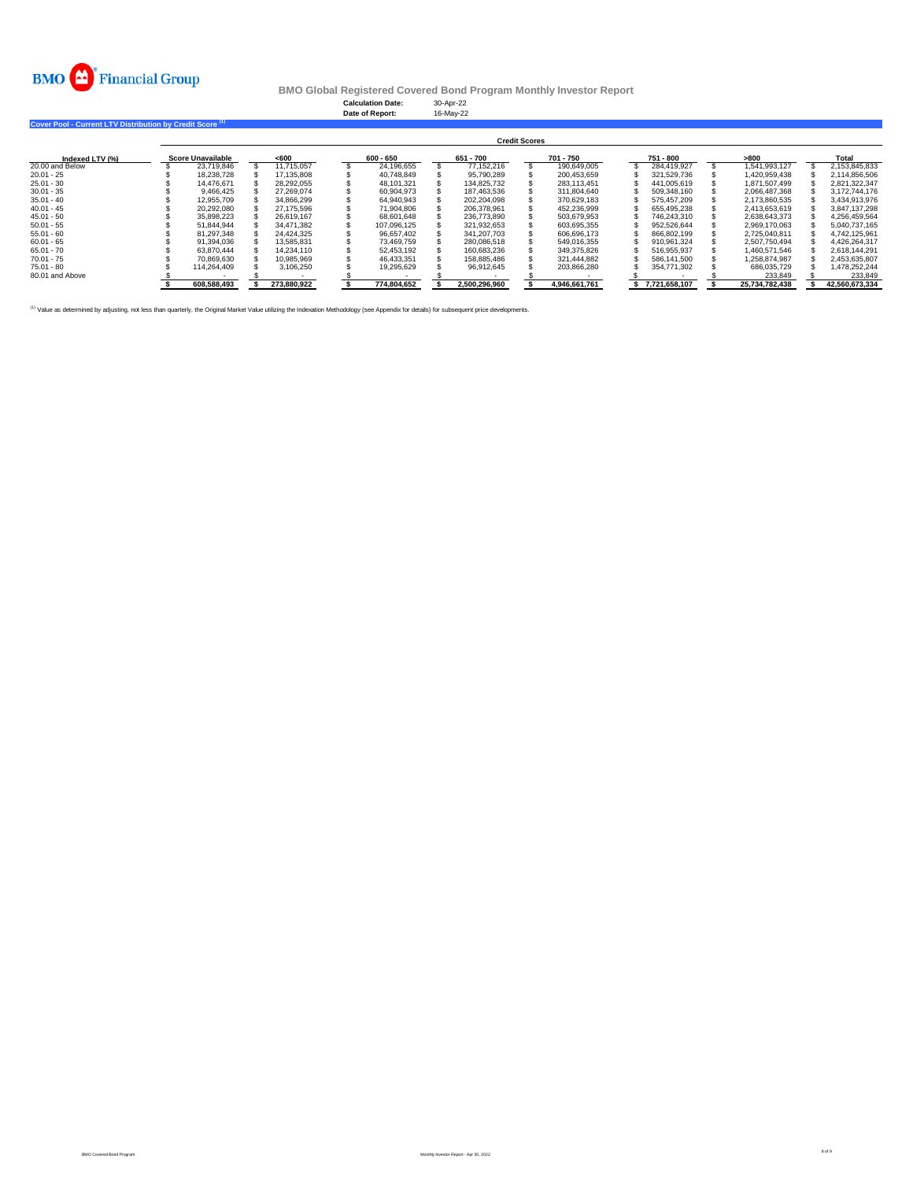

**Calculation Date:** 30-Apr-22 **Date of Report:** 16-May-22

**Cover Pool - Current LTV Distribution by Credit Score (1)** 

|                 | <b>Credit Scores</b>     |             |       |             |  |             |  |               |  |               |  |               |  |                |  |                |  |
|-----------------|--------------------------|-------------|-------|-------------|--|-------------|--|---------------|--|---------------|--|---------------|--|----------------|--|----------------|--|
| Indexed LTV (%) | <b>Score Unavailable</b> |             | < 600 |             |  | 600 - 650   |  | 651 - 700     |  | 701 - 750     |  | 751 - 800     |  | >800           |  | Total          |  |
| 20.00 and Below |                          | 23.719.846  |       | 11.715.057  |  | 24.196.655  |  | 77.152.216    |  | 190.649.005   |  | 284.419.927   |  | 1.541.993.127  |  | 2.153.845.833  |  |
| $20.01 - 25$    |                          | 18.238.728  |       | 17.135.808  |  | 40.748.849  |  | 95.790.289    |  | 200.453.659   |  | 321.529.736   |  | 1.420.959.438  |  | 2.114.856.506  |  |
| $25.01 - 30$    |                          | 14.476.671  |       | 28.292.055  |  | 48.101.321  |  | 134.825.732   |  | 283.113.451   |  | 441.005.619   |  | 1.871.507.499  |  | 2.821.322.347  |  |
| $30.01 - 35$    |                          | 9.466.425   |       | 27.269.074  |  | 60.904.973  |  | 187.463.536   |  | 311.804.640   |  | 509.348.160   |  | 2.066.487.368  |  | 3.172.744.176  |  |
| $35.01 - 40$    |                          | 12.955.709  |       | 34.866.299  |  | 64.940.943  |  | 202.204.098   |  | 370.629.183   |  | 575.457.209   |  | 2.173.860.535  |  | 3.434.913.976  |  |
| $40.01 - 45$    |                          | 20.292.080  |       | 27.175.596  |  | 71.904.806  |  | 206.378.961   |  | 452.236.999   |  | 655.495.238   |  | 2.413.653.619  |  | 3.847.137.298  |  |
| $45.01 - 50$    |                          | 35.898.223  |       | 26.619.167  |  | 68,601,648  |  | 236.773.890   |  | 503.679.953   |  | 746.243.310   |  | 2.638.643.373  |  | 4.256.459.564  |  |
| $50.01 - 55$    |                          | 51.844.944  |       | 34.471.382  |  | 107.096.125 |  | 321.932.653   |  | 603.695.355   |  | 952.526.644   |  | 2.969.170.063  |  | 5.040.737.165  |  |
| $55.01 - 60$    |                          | 81.297.348  |       | 24.424.325  |  | 96.657.402  |  | 341.207.703   |  | 606.696.173   |  | 866.802.199   |  | 2.725.040.811  |  | 4.742.125.961  |  |
| $60.01 - 65$    |                          | 91.394.036  |       | 13.585.831  |  | 73.469.759  |  | 280.086.518   |  | 549.016.355   |  | 910.961.324   |  | 2.507.750.494  |  | 4.426.264.317  |  |
| $65.01 - 70$    |                          | 63.870.444  |       | 14.234.110  |  | 52.453.192  |  | 160.683.236   |  | 349.375.826   |  | 516.955.937   |  | 1.460.571.546  |  | 2.618.144.291  |  |
| $70.01 - 75$    |                          | 70.869.630  |       | 10.985.969  |  | 46.433.351  |  | 158.885.486   |  | 321.444.882   |  | 586.141.500   |  | 1.258.874.987  |  | 2.453.635.807  |  |
| $75.01 - 80$    |                          | 114.264.409 |       | 3.106.250   |  | 19.295.629  |  | 96.912.645    |  | 203.866.280   |  | 354,771,302   |  | 686.035.729    |  | 1.478.252.244  |  |
| 80.01 and Above |                          |             |       |             |  |             |  |               |  |               |  |               |  | 233.849        |  | 233,849        |  |
|                 |                          | 608.588.493 |       | 273.880.922 |  | 774.804.652 |  | 2.500.296.960 |  | 4,946,661,761 |  | 7.721.658.107 |  | 25.734.782.438 |  | 42,560,673,334 |  |

<sup>(1)</sup> Value as determined by adjusting, not less than quarterly, the Original Market Value utilizing the Indexation Methodology (see Appendix for details) for subsequent price developments.